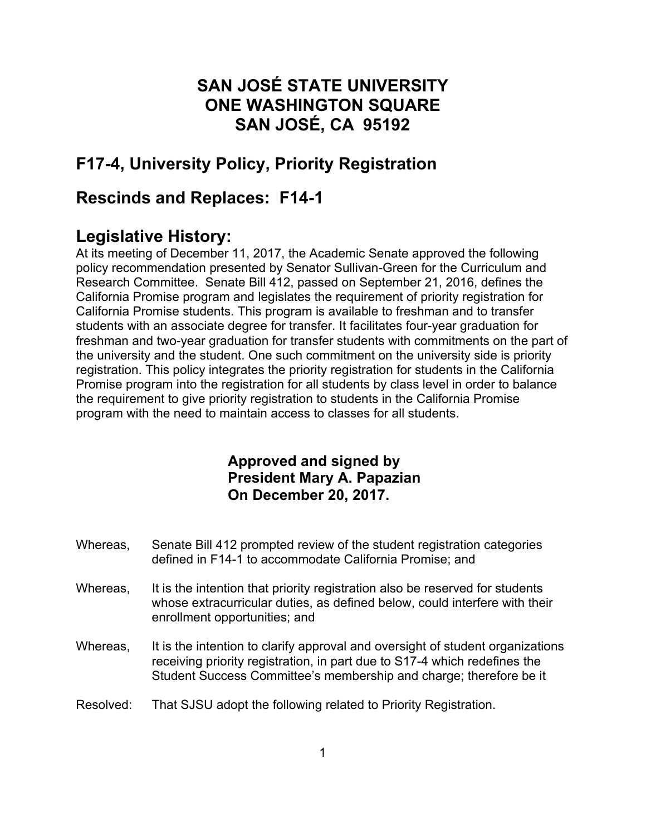# **SAN JOSÉ STATE UNIVERSITY ONE WASHINGTON SQUARE SAN JOSÉ, CA 95192**

# **F17-4, University Policy, Priority Registration**

## **Rescinds and Replaces: F14-1**

## **Legislative History:**

At its meeting of December 11, 2017, the Academic Senate approved the following policy recommendation presented by Senator Sullivan-Green for the Curriculum and Research Committee. Senate Bill 412, passed on September 21, 2016, defines the California Promise program and legislates the requirement of priority registration for California Promise students. This program is available to freshman and to transfer students with an associate degree for transfer. It facilitates four-year graduation for freshman and two-year graduation for transfer students with commitments on the part of the university and the student. One such commitment on the university side is priority registration. This policy integrates the priority registration for students in the California Promise program into the registration for all students by class level in order to balance the requirement to give priority registration to students in the California Promise program with the need to maintain access to classes for all students.

### **Approved and signed by President Mary A. Papazian On December 20, 2017.**

- Whereas, Senate Bill 412 prompted review of the student registration categories defined in F14-1 to accommodate California Promise; and
- Whereas, It is the intention that priority registration also be reserved for students whose extracurricular duties, as defined below, could interfere with their enrollment opportunities; and
- Whereas, It is the intention to clarify approval and oversight of student organizations receiving priority registration, in part due to S17-4 which redefines the Student Success Committee's membership and charge; therefore be it
- Resolved: That SJSU adopt the following related to Priority Registration.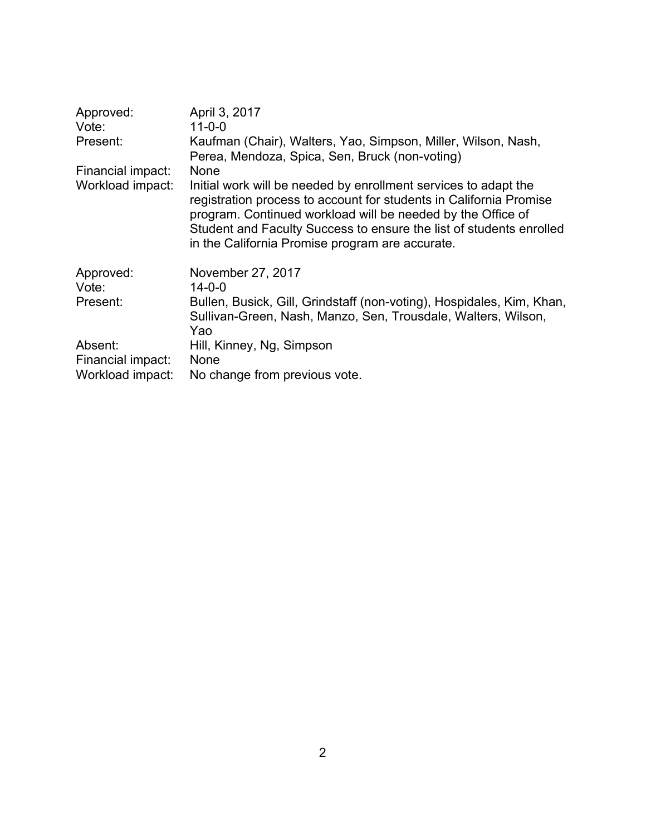| Approved:         | April 3, 2017                                                                                                                                                                                                                                                                                                                  |
|-------------------|--------------------------------------------------------------------------------------------------------------------------------------------------------------------------------------------------------------------------------------------------------------------------------------------------------------------------------|
| Vote:             | $11 - 0 - 0$                                                                                                                                                                                                                                                                                                                   |
| Present:          | Kaufman (Chair), Walters, Yao, Simpson, Miller, Wilson, Nash,<br>Perea, Mendoza, Spica, Sen, Bruck (non-voting)                                                                                                                                                                                                                |
| Financial impact: | None                                                                                                                                                                                                                                                                                                                           |
| Workload impact:  | Initial work will be needed by enrollment services to adapt the<br>registration process to account for students in California Promise<br>program. Continued workload will be needed by the Office of<br>Student and Faculty Success to ensure the list of students enrolled<br>in the California Promise program are accurate. |
| Approved:         | November 27, 2017                                                                                                                                                                                                                                                                                                              |
| Vote:             | $14 - 0 - 0$                                                                                                                                                                                                                                                                                                                   |
| Present:          | Bullen, Busick, Gill, Grindstaff (non-voting), Hospidales, Kim, Khan,<br>Sullivan-Green, Nash, Manzo, Sen, Trousdale, Walters, Wilson,<br>Yao                                                                                                                                                                                  |
| Absent:           | Hill, Kinney, Ng, Simpson<br>None                                                                                                                                                                                                                                                                                              |
| Financial impact: |                                                                                                                                                                                                                                                                                                                                |
| Workload impact:  | No change from previous vote.                                                                                                                                                                                                                                                                                                  |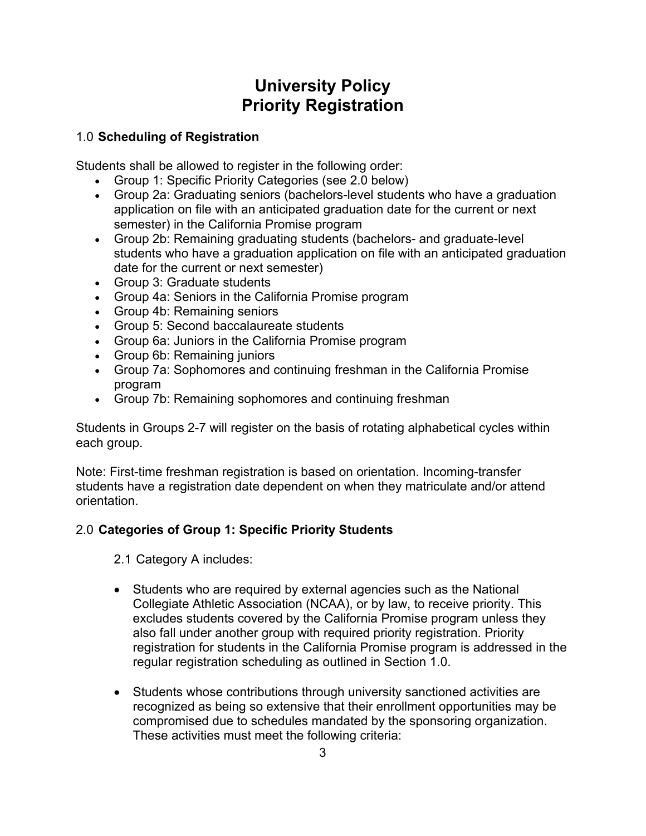# **University Policy Priority Registration**

#### 1.0 **Scheduling of Registration**

Students shall be allowed to register in the following order:

- Group 1: Specific Priority Categories (see 2.0 below)
- Group 2a: Graduating seniors (bachelors-level students who have a graduation application on file with an anticipated graduation date for the current or next semester) in the California Promise program
- Group 2b: Remaining graduating students (bachelors- and graduate-level students who have a graduation application on file with an anticipated graduation date for the current or next semester)
- Group 3: Graduate students
- Group 4a: Seniors in the California Promise program
- Group 4b: Remaining seniors
- Group 5: Second baccalaureate students
- Group 6a: Juniors in the California Promise program
- Group 6b: Remaining juniors
- Group 7a: Sophomores and continuing freshman in the California Promise program
- Group 7b: Remaining sophomores and continuing freshman

Students in Groups 2-7 will register on the basis of rotating alphabetical cycles within each group.

Note: First-time freshman registration is based on orientation. Incoming-transfer students have a registration date dependent on when they matriculate and/or attend orientation.

### 2.0 **Categories of Group 1: Specific Priority Students**

2.1 Category A includes:

- Students who are required by external agencies such as the National Collegiate Athletic Association (NCAA), or by law, to receive priority. This excludes students covered by the California Promise program unless they also fall under another group with required priority registration. Priority registration for students in the California Promise program is addressed in the regular registration scheduling as outlined in Section 1.0.
- Students whose contributions through university sanctioned activities are recognized as being so extensive that their enrollment opportunities may be compromised due to schedules mandated by the sponsoring organization. These activities must meet the following criteria: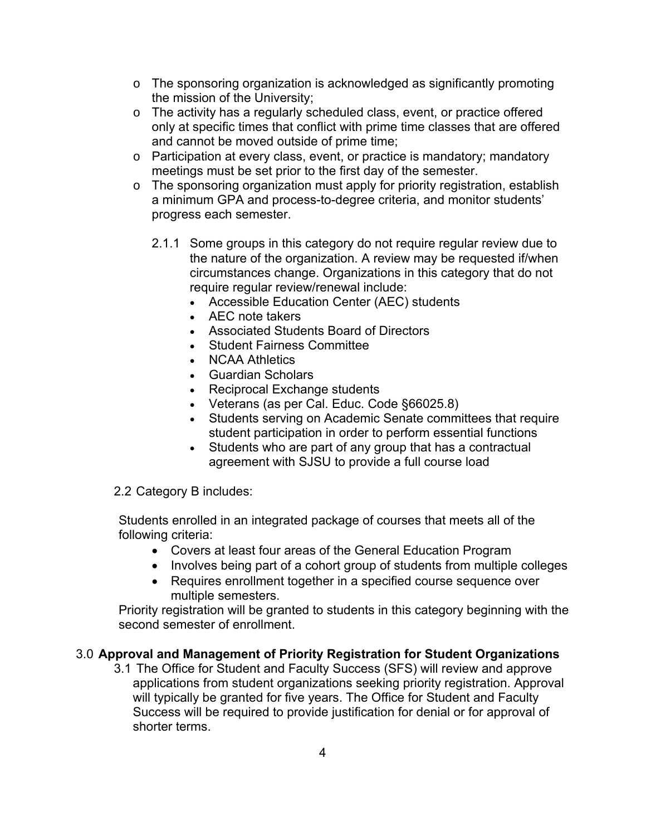- $\circ$  The sponsoring organization is acknowledged as significantly promoting the mission of the University;
- o The activity has a regularly scheduled class, event, or practice offered only at specific times that conflict with prime time classes that are offered and cannot be moved outside of prime time;
- o Participation at every class, event, or practice is mandatory; mandatory meetings must be set prior to the first day of the semester.
- o The sponsoring organization must apply for priority registration, establish a minimum GPA and process-to-degree criteria, and monitor students' progress each semester.
	- 2.1.1 Some groups in this category do not require regular review due to the nature of the organization. A review may be requested if/when circumstances change. Organizations in this category that do not require regular review/renewal include:
		- Accessible Education Center (AEC) students
		- AEC note takers
		- Associated Students Board of Directors
		- Student Fairness Committee
		- NCAA Athletics
		- Guardian Scholars
		- Reciprocal Exchange students
		- Veterans (as per Cal. Educ. Code §66025.8)
		- Students serving on Academic Senate committees that require student participation in order to perform essential functions
		- Students who are part of any group that has a contractual agreement with SJSU to provide a full course load
- 2.2 Category B includes:

Students enrolled in an integrated package of courses that meets all of the following criteria:

- Covers at least four areas of the General Education Program
- Involves being part of a cohort group of students from multiple colleges
- Requires enrollment together in a specified course sequence over multiple semesters.

Priority registration will be granted to students in this category beginning with the second semester of enrollment.

#### 3.0 **Approval and Management of Priority Registration for Student Organizations**

3.1 The Office for Student and Faculty Success (SFS) will review and approve applications from student organizations seeking priority registration. Approval will typically be granted for five years. The Office for Student and Faculty Success will be required to provide justification for denial or for approval of shorter terms.